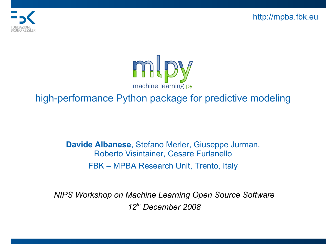http://mpba.fbk.eu





#### high-performance Python package for predictive modeling

**Davide Albanese**, Stefano Merler, Giuseppe Jurman, Roberto Visintainer, Cesare Furlanello FBK – MPBA Research Unit, Trento, Italy

*NIPS Workshop on Machine Learning Open Source Software 12th December 2008*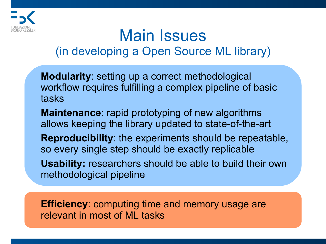

### Main Issues (in developing a Open Source ML library)

**Modularity**: setting up a correct methodological workflow requires fulfilling a complex pipeline of basic tasks

**Maintenance**: rapid prototyping of new algorithms allows keeping the library updated to state-of-the-art

**Reproducibility**: the experiments should be repeatable, so every single step should be exactly replicable

**Usability:** researchers should be able to build their own methodological pipeline

**Efficiency**: computing time and memory usage are relevant in most of ML tasks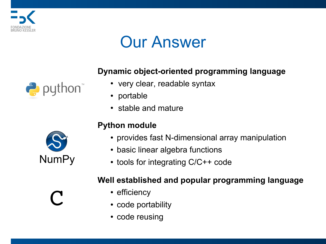

### Our Answer

#### **Dynamic object-oriented programming language**

- very clear, readable syntax
- portable
- stable and mature

#### **Python module**

- provides fast N-dimensional array manipulation
- basic linear algebra functions
- $\cdot$  tools for integrating  $C/C++$  code

#### **Well established and popular programming language**

- efficiency
- code portability
- code reusing



 $\leftrightarrow$  python

C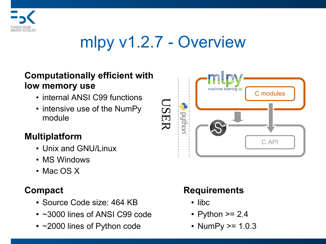

## mlpy v1.2.7 - Overview

#### **Computationally efficient with low memory use**

- internal ANSI C99 functions
- intensive use of the NumPy module

#### **Multiplatform**

- Unix and GNU/Linux
- MS Windows
- Mac OS X

### **Compact**

- Source Code size: 464 KB
- $\cdot$  ~3000 lines of ANSI C99 code
- $\cdot$  ~2000 lines of Python code



### **Requirements**

- libc
- Python  $\ge$  2.4
- NumPy  $> = 1.0.3$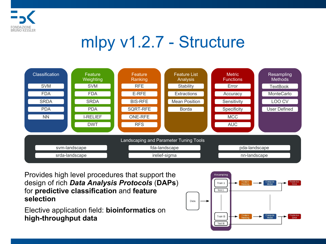

## mlpy v1.2.7 - Structure



Provides high level procedures that support the design of rich *Data Analysis Protocols* (**DAPs**) for **predictive classification** and **feature selection**

Elective application field: **bioinformatics** on **high-throughput data**

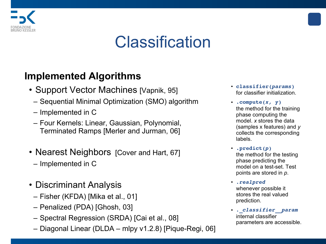

### **Classification**

#### **Implemented Algorithms**

- Support Vector Machines [Vapnik, 95]
	- Sequential Minimal Optimization (SMO) algorithm
	- Implemented in C
	- Four Kernels: Linear, Gaussian, Polynomial, Terminated Ramps [Merler and Jurman, 06]
- Nearest Neighbors [Cover and Hart, 67]
	- Implemented in C
- Discriminant Analysis
	- Fisher (KFDA) [Mika et al., 01]
	- Penalized (PDA) [Ghosh, 03]
	- Spectral Regression (SRDA) [Cai et al., 08]
	- Diagonal Linear (DLDA mlpy v1.2.8) [Pique-Regi, 06]
- **classifier(***params***)** for classifier initialization.
- **.compute(***x, y***)** the method for the training phase computing the model. *x* stores the data (samples x features) and *y*  collects the corresponding labels.
- **.predict(***p***)**  the method for the testing phase predicting the model on a test-set. Test points are stored in *p*.
- *.realpred*  whenever possible it stores the real valued prediction.
- *.\_classifier\_\_param* internal classifier parameters are accessible.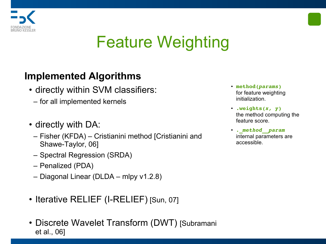

# Feature Weighting

### **Implemented Algorithms**

- directly within SVM classifiers:
	- for all implemented kernels
- directly with DA:
	- Fisher (KFDA) Cristianini method [Cristianini and Shawe-Taylor, 06]
	- Spectral Regression (SRDA)
	- Penalized (PDA)
	- Diagonal Linear (DLDA mlpy v1.2.8)
- Iterative RELIEF (I-RELIEF) [Sun, 07]
- Discrete Wavelet Transform (DWT) [Subramani et al., 06]
- **method(***params***)** for feature weighting initialization.
- **.weights(***x, y***)** the method computing the feature score.
- *.\_method\_\_param* internal parameters are accessible.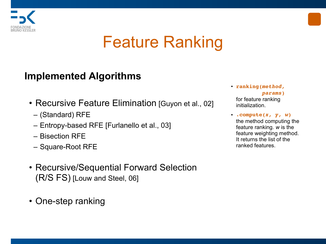

## Feature Ranking

#### **Implemented Algorithms**

- Recursive Feature Elimination [Guyon et al., 02]
	- (Standard) RFE
	- Entropy-based RFE [Furlanello et al., 03]
	- Bisection RFE
	- Square-Root RFE
- Recursive/Sequential Forward Selection (R/S FS) [Louw and Steel, 06]
- One-step ranking
- **ranking(***method,**params***)** for feature ranking initialization.
- **.compute(***x, y, w***)** the method computing the feature ranking. *w* is the feature weighting method. It returns the list of the ranked features.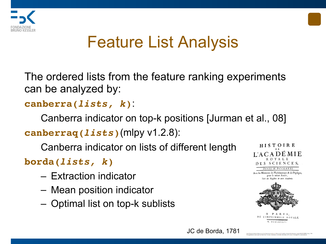



# Feature List Analysis

The ordered lists from the feature ranking experiments can be analyzed by:

### **canberra(***lists, k***)**:

Canberra indicator on top-k positions [Jurman et al., 08] **canberraq(***lists***)**(mlpy v1.2.8):

Canberra indicator on lists of different length

**borda(***lists, k***)**

- Extraction indicator
- Mean position indicator
- Optimal list on top-k sublists



Avec les Mémoires de Mathématique & de Phyfique, pour la même Année, Tirés des Begistres de cette Académie



PARIS DE L'IMPRIMERIE ROYALE. M. DCCLXXXIV.

JC de Borda, 1781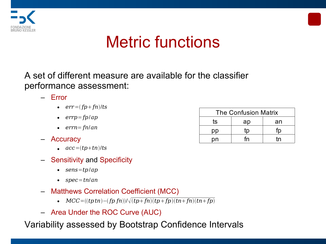



## Metric functions

A set of different measure are available for the classifier performance assessment:

- Error
	- $err = (fp + fn)/ts$
	- *errp*=*fp*/*ap*
	- *errn*= *fn*/*an*
- Accuracy
	- *acc*=*tptn*/*ts*
- Sensitivity and Specificity
	- *sens*=*tp*/*ap*
	- *spec*=*tn*/*an*
- Matthews Correlation Coefficient (MCC)
	- $MCC = ((tptn) (fpfn))/\sqrt{(tp + fn)(tp + fp)(tn + fn)(tn + fp)}$
- Area Under the ROC Curve (AUC)

Variability assessed by Bootstrap Confidence Intervals

| <b>The Confusion Matrix</b> |    |    |
|-----------------------------|----|----|
| ts                          | ap | an |
|                             | m  |    |
| nn                          | fn | m  |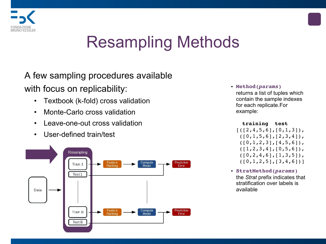

# Resampling Methods

A few sampling procedures available with focus on replicability:

- Textbook (k-fold) cross validation
- Monte-Carlo cross validation
- Leave-one-out cross validation
- User-defined train/test



• **Method(***params***)**  returns a list of tuples which contain the sample indexes for each replicate.For example:

```
 training  test     
[(12,4,5,6],[0,1,3]),
 ([0,1,5,6],[2,3,4]),
 (10,1,2,3), [4,5,6],
 (1, 2, 3, 4], [0, 5, 6],
 (10, 2, 4, 6], [1, 3, 5],
 ([0,1,2,5], [3,4,6]]
```
• **StratMethod(***params***)** the *Strat* prefix indicates that stratification over labels is available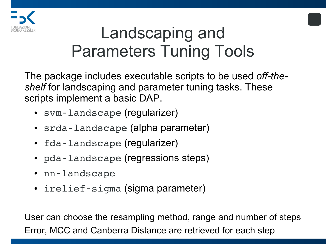

## Landscaping and Parameters Tuning Tools

The package includes executable scripts to be used *off-theshelf* for landscaping and parameter tuning tasks. These scripts implement a basic DAP.

- svm-landscape (regularizer)
- srda-landscape (alpha parameter)
- fda-landscape (regularizer)
- pda-landscape (regressions steps)
- nn-landscape
- irelief-sigma (sigma parameter)

User can choose the resampling method, range and number of steps Error, MCC and Canberra Distance are retrieved for each step